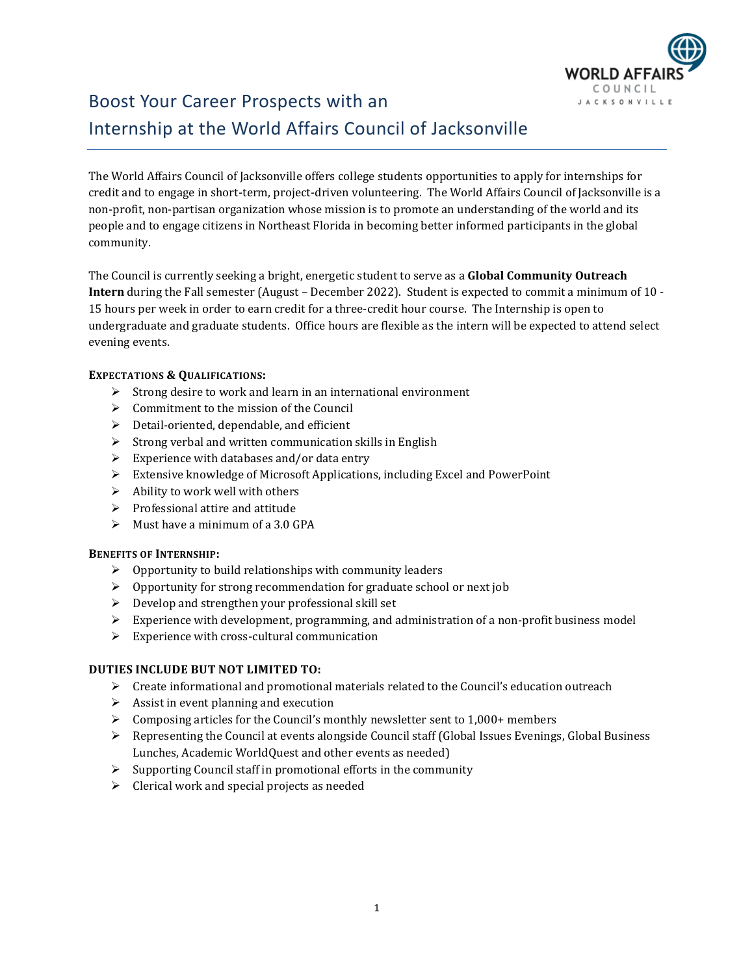

# Boost Your Career Prospects with an Internship at the World Affairs Council of Jacksonville

The World Affairs Council of Jacksonville offers college students opportunities to apply for internships for credit and to engage in short-term, project-driven volunteering. The World Affairs Council of Jacksonville is a non-profit, non-partisan organization whose mission is to promote an understanding of the world and its people and to engage citizens in Northeast Florida in becoming better informed participants in the global community.

The Council is currently seeking a bright, energetic student to serve as a **Global Community Outreach Intern** during the Fall semester (August – December 2022). Student is expected to commit a minimum of 10 - 15 hours per week in order to earn credit for a three-credit hour course. The Internship is open to undergraduate and graduate students. Office hours are flexible as the intern will be expected to attend select evening events.

### **EXPECTATIONS & QUALIFICATIONS:**

- ➢ Strong desire to work and learn in an international environment
- ➢ Commitment to the mission of the Council
- $\triangleright$  Detail-oriented, dependable, and efficient
- $\triangleright$  Strong verbal and written communication skills in English
- $\triangleright$  Experience with databases and/or data entry
- ➢ Extensive knowledge of Microsoft Applications, including Excel and PowerPoint
- $\triangleright$  Ability to work well with others
- ➢ Professional attire and attitude
- $\triangleright$  Must have a minimum of a 3.0 GPA

#### **BENEFITS OF INTERNSHIP:**

- $\triangleright$  Opportunity to build relationships with community leaders
- ➢ Opportunity for strong recommendation for graduate school or next job
- ➢ Develop and strengthen your professional skill set
- $\triangleright$  Experience with development, programming, and administration of a non-profit business model
- $\triangleright$  Experience with cross-cultural communication

#### **DUTIES INCLUDE BUT NOT LIMITED TO:**

- $\triangleright$  Create informational and promotional materials related to the Council's education outreach
- $\triangleright$  Assist in event planning and execution
- $\triangleright$  Composing articles for the Council's monthly newsletter sent to 1,000+ members
- ➢ Representing the Council at events alongside Council staff (Global Issues Evenings, Global Business Lunches, Academic WorldQuest and other events as needed)
- $\triangleright$  Supporting Council staff in promotional efforts in the community
- ➢ Clerical work and special projects as needed